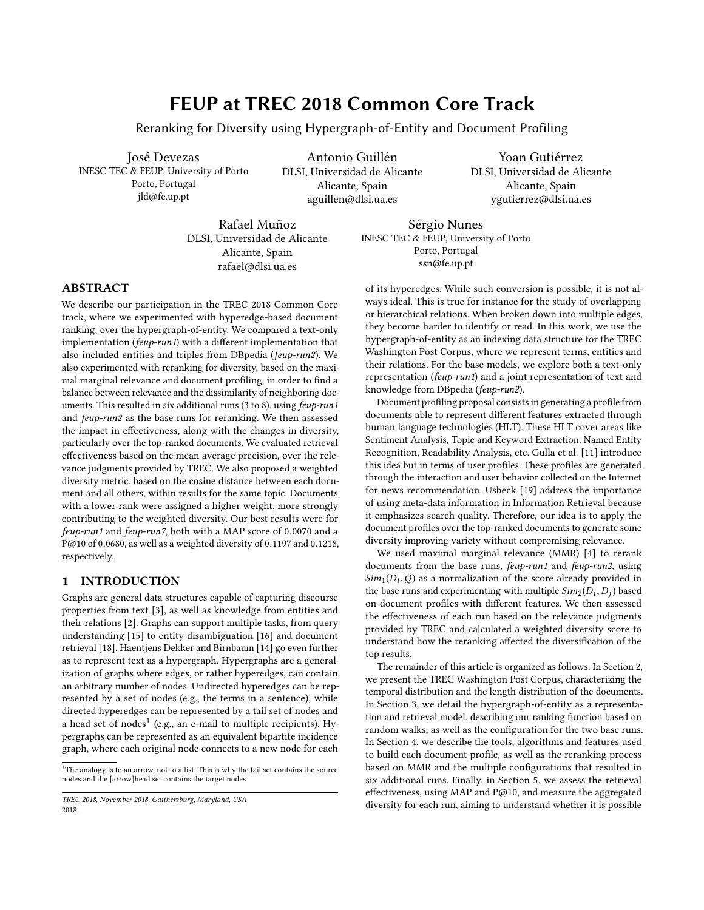# FEUP at TREC 2018 Common Core Track

Reranking for Diversity using Hypergraph-of-Entity and Document Profiling

José Devezas INESC TEC & FEUP, University of Porto Porto, Portugal jld@fe.up.pt

Antonio Guillén DLSI, Universidad de Alicante Alicante, Spain aguillen@dlsi.ua.es

Yoan Gutiérrez DLSI, Universidad de Alicante Alicante, Spain ygutierrez@dlsi.ua.es

Rafael Muñoz DLSI, Universidad de Alicante Alicante, Spain rafael@dlsi.ua.es

Sérgio Nunes INESC TEC & FEUP, University of Porto Porto, Portugal ssn@fe.up.pt

# ABSTRACT

We describe our participation in the TREC 2018 Common Core track, where we experimented with hyperedge-based document ranking, over the hypergraph-of-entity. We compared a text-only implementation (feup-run1) with a different implementation that also included entities and triples from DBpedia (feup-run2). We also experimented with reranking for diversity, based on the maximal marginal relevance and document profiling, in order to find a balance between relevance and the dissimilarity of neighboring documents. This resulted in six additional runs (3 to 8), using feup-run1 and feup-run2 as the base runs for reranking. We then assessed the impact in effectiveness, along with the changes in diversity, particularly over the top-ranked documents. We evaluated retrieval effectiveness based on the mean average precision, over the relevance judgments provided by TREC. We also proposed a weighted diversity metric, based on the cosine distance between each document and all others, within results for the same topic. Documents with a lower rank were assigned a higher weight, more strongly contributing to the weighted diversity. Our best results were for feup-run1 and feup-run7, both with a MAP score of <sup>0</sup>.<sup>0070</sup> and a P@10 of <sup>0</sup>.0680, as well as a weighted diversity of <sup>0</sup>.<sup>1197</sup> and <sup>0</sup>.1218, respectively.

# 1 INTRODUCTION

Graphs are general data structures capable of capturing discourse properties from text [\[3\]](#page-5-0), as well as knowledge from entities and their relations [\[2\]](#page-5-1). Graphs can support multiple tasks, from query understanding [\[15\]](#page-6-0) to entity disambiguation [\[16\]](#page-6-1) and document retrieval [\[18\]](#page-6-2). Haentjens Dekker and Birnbaum [\[14\]](#page-6-3) go even further as to represent text as a hypergraph. Hypergraphs are a generalization of graphs where edges, or rather hyperedges, can contain an arbitrary number of nodes. Undirected hyperedges can be represented by a set of nodes (e.g., the terms in a sentence), while directed hyperedges can be represented by a tail set of nodes and a head set of nodes $^1$  $^1$  (e.g., an e-mail to multiple recipients). Hypergraphs can be represented as an equivalent bipartite incidence graph, where each original node connects to a new node for each

of its hyperedges. While such conversion is possible, it is not always ideal. This is true for instance for the study of overlapping or hierarchical relations. When broken down into multiple edges, they become harder to identify or read. In this work, we use the hypergraph-of-entity as an indexing data structure for the TREC Washington Post Corpus, where we represent terms, entities and their relations. For the base models, we explore both a text-only representation (feup-run1) and a joint representation of text and knowledge from DBpedia (feup-run2).

Document profiling proposal consists in generating a profile from documents able to represent different features extracted through human language technologies (HLT). These HLT cover areas like Sentiment Analysis, Topic and Keyword Extraction, Named Entity Recognition, Readability Analysis, etc. Gulla et al. [\[11\]](#page-6-4) introduce this idea but in terms of user profiles. These profiles are generated through the interaction and user behavior collected on the Internet for news recommendation. Usbeck [\[19\]](#page-6-5) address the importance of using meta-data information in Information Retrieval because it emphasizes search quality. Therefore, our idea is to apply the document profiles over the top-ranked documents to generate some diversity improving variety without compromising relevance.

We used maximal marginal relevance (MMR) [\[4\]](#page-5-2) to rerank documents from the base runs, feup-run1 and feup-run2, using  $Sim_1(D_i, Q)$  as a normalization of the score already provided in the base runs and experimenting with multiple  $Sim_2(D_i, D_i)$  based the base runs and experimenting with multiple  $Sim_2(D_i, D_j)$  based<br>on document profiles with different features. We then assessed on document profiles with different features. We then assessed the effectiveness of each run based on the relevance judgments provided by TREC and calculated a weighted diversity score to understand how the reranking affected the diversification of the top results.

The remainder of this article is organized as follows. In Section [2,](#page-1-0) we present the TREC Washington Post Corpus, characterizing the temporal distribution and the length distribution of the documents. In Section [3,](#page-1-1) we detail the hypergraph-of-entity as a representation and retrieval model, describing our ranking function based on random walks, as well as the configuration for the two base runs. In Section [4,](#page-2-0) we describe the tools, algorithms and features used to build each document profile, as well as the reranking process based on MMR and the multiple configurations that resulted in six additional runs. Finally, in Section [5,](#page-3-0) we assess the retrieval effectiveness, using MAP and P@10, and measure the aggregated diversity for each run, aiming to understand whether it is possible

<span id="page-0-0"></span> $^{\rm 1}{\rm The}$  analogy is to an arrow, not to a list. This is why the tail set contains the source nodes and the [arrow]head set contains the target nodes.

TREC 2018, November 2018, Gaithersburg, Maryland, USA 2018.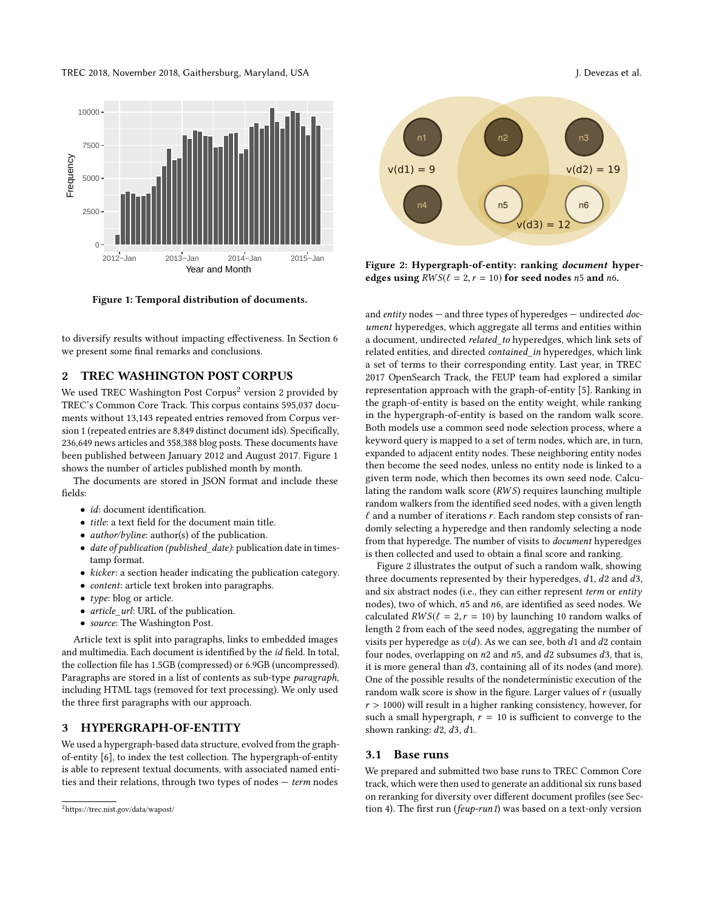TREC 2018, November 2018, Gaithersburg, Maryland, USA J. Devezas et al.

<span id="page-1-3"></span>

Figure 1: Temporal distribution of documents.

to diversify results without impacting effectiveness. In Section [6](#page-5-3) we present some final remarks and conclusions.

#### <span id="page-1-0"></span>2 TREC WASHINGTON POST CORPUS

We used TREC Washington Post Corpus<sup>[2](#page-1-2)</sup> version 2 provided by TREC's Common Core Track. This corpus contains 595,037 documents without 13,143 repeated entries removed from Corpus version 1 (repeated entries are 8,849 distinct document ids). Specifically, 236,649 news articles and 358,388 blog posts. These documents have been published between January 2012 and August 2017. Figure [1](#page-1-3) shows the number of articles published month by month.

The documents are stored in JSON format and include these fields:

- *id*: document identification.
- title: a text field for the document main title.
- author/byline: author(s) of the publication.
- date of publication (published\_date): publication date in timestamp format.
- kicker: a section header indicating the publication category.
- content: article text broken into paragraphs.
- $type: \text{blog}$  or article.
- article\_url: URL of the publication.
- source: The Washington Post.

Article text is split into paragraphs, links to embedded images and multimedia. Each document is identified by the id field. In total, the collection file has 1.5GB (compressed) or 6.9GB (uncompressed). Paragraphs are stored in a list of contents as sub-type paragraph, including HTML tags (removed for text processing). We only used the three first paragraphs with our approach.

#### <span id="page-1-1"></span>3 HYPERGRAPH-OF-ENTITY

We used a hypergraph-based data structure, evolved from the graphof-entity [\[6\]](#page-5-4), to index the test collection. The hypergraph-of-entity is able to represent textual documents, with associated named entities and their relations, through two types of nodes  $-$  term nodes

<span id="page-1-4"></span>

Figure 2: Hypergraph-of-entity: ranking document hyperedges using  $RWS(\ell = 2, r = 10)$  for seed nodes n5 and n6.

and entity nodes - and three types of hyperedges - undirected document hyperedges, which aggregate all terms and entities within a document, undirected related\_to hyperedges, which link sets of related entities, and directed contained\_in hyperedges, which link a set of terms to their corresponding entity. Last year, in TREC 2017 OpenSearch Track, the FEUP team had explored a similar representation approach with the graph-of-entity [\[5\]](#page-5-5). Ranking in the graph-of-entity is based on the entity weight, while ranking in the hypergraph-of-entity is based on the random walk score. Both models use a common seed node selection process, where a keyword query is mapped to a set of term nodes, which are, in turn, expanded to adjacent entity nodes. These neighboring entity nodes then become the seed nodes, unless no entity node is linked to a given term node, which then becomes its own seed node. Calculating the random walk score (RWS) requires launching multiple random walkers from the identified seed nodes, with a given length  $\ell$  and a number of iterations r. Each random step consists of randomly selecting a hyperedge and then randomly selecting a node from that hyperedge. The number of visits to document hyperedges is then collected and used to obtain a final score and ranking.

Figure [2](#page-1-4) illustrates the output of such a random walk, showing three documents represented by their hyperedges, d1, d<sup>2</sup> and d3, and six abstract nodes (i.e., they can either represent term or entity nodes), two of which, n<sup>5</sup> and n6, are identified as seed nodes. We calculated  $RWS(\ell = 2, r = 10)$  by launching 10 random walks of length 2 from each of the seed nodes, aggregating the number of visits per hyperedge as  $v(d)$ . As we can see, both d1 and d2 contain four nodes, overlapping on  $n^2$  and  $n^2$ , and  $d^2$  subsumes  $d^3$ , that is, it is more general than d3, containing all of its nodes (and more). One of the possible results of the nondeterministic execution of the random walk score is show in the figure. Larger values of  $r$  (usually  $r > 1000$ ) will result in a higher ranking consistency, however, for such a small hypergraph,  $r = 10$  is sufficient to converge to the shown ranking:  $d2$ ,  $d3$ ,  $d1$ .

#### 3.1 Base runs

We prepared and submitted two base runs to TREC Common Core track, which were then used to generate an additional six runs based on reranking for diversity over different document profiles (see Section [4\)](#page-2-0). The first run (feup-run1) was based on a text-only version

<span id="page-1-2"></span><sup>2</sup><https://trec.nist.gov/data/wapost/>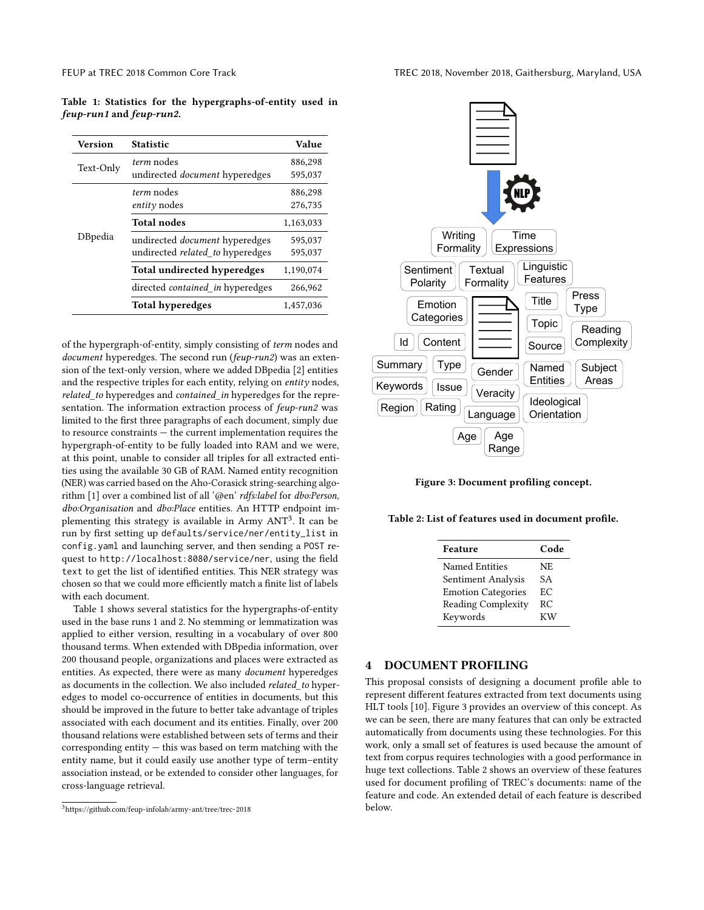<span id="page-2-2"></span>Table 1: Statistics for the hypergraphs-of-entity used in feup-run1 and feup-run2.

| <b>Version</b> | <b>Statistic</b>                        | Value     |
|----------------|-----------------------------------------|-----------|
|                | <i>term</i> nodes                       | 886,298   |
| Text-Only      | undirected <i>document</i> hyperedges   | 595,037   |
|                | <i>term</i> nodes                       | 886,298   |
| DBpedia        | $entity$ nodes                          | 276,735   |
|                | <b>Total nodes</b>                      | 1,163,033 |
|                | undirected <i>document</i> hyperedges   | 595,037   |
|                | undirected <i>related</i> to hyperedges | 595,037   |
|                | <b>Total undirected hyperedges</b>      | 1,190,074 |
|                | directed <i>contained_in</i> hyperedges | 266,962   |
|                | Total hyperedges                        | 1,457,036 |

of the hypergraph-of-entity, simply consisting of term nodes and document hyperedges. The second run (feup-run2) was an extension of the text-only version, where we added DBpedia [\[2\]](#page-5-1) entities and the respective triples for each entity, relying on entity nodes, related to hyperedges and contained in hyperedges for the representation. The information extraction process of  $f\neq u p$ -run2 was limited to the first three paragraphs of each document, simply due to resource constraints — the current implementation requires the hypergraph-of-entity to be fully loaded into RAM and we were, at this point, unable to consider all triples for all extracted entities using the available 30 GB of RAM. Named entity recognition (NER) was carried based on the Aho-Corasick string-searching algorithm [\[1\]](#page-5-6) over a combined list of all '@en' rdfs:label for dbo:Person, dbo:Organisation and dbo:Place entities. An HTTP endpoint im-plementing this strategy is available in Army ANT<sup>[3](#page-2-1)</sup>. It can be run by first setting up defaults/service/ner/entity\_list in config.yaml and launching server, and then sending a POST request to http://localhost:8080/service/ner, using the field text to get the list of identified entities. This NER strategy was chosen so that we could more efficiently match a finite list of labels with each document.

Table [1](#page-2-2) shows several statistics for the hypergraphs-of-entity used in the base runs 1 and 2. No stemming or lemmatization was applied to either version, resulting in a vocabulary of over 800 thousand terms. When extended with DBpedia information, over 200 thousand people, organizations and places were extracted as entities. As expected, there were as many document hyperedges as documents in the collection. We also included *related* to hyperedges to model co-occurrence of entities in documents, but this should be improved in the future to better take advantage of triples associated with each document and its entities. Finally, over 200 thousand relations were established between sets of terms and their corresponding entity — this was based on term matching with the entity name, but it could easily use another type of term–entity association instead, or be extended to consider other languages, for cross-language retrieval.

<span id="page-2-3"></span>

Figure 3: Document profiling concept.

<span id="page-2-4"></span>Table 2: List of features used in document profile.

| Feature                   | Code           |
|---------------------------|----------------|
| Named Entities            | N <sub>E</sub> |
| Sentiment Analysis        | SА             |
| <b>Emotion Categories</b> | EC             |
| <b>Reading Complexity</b> | RC             |
| Keywords                  | KW             |

#### <span id="page-2-0"></span>4 DOCUMENT PROFILING

This proposal consists of designing a document profile able to represent different features extracted from text documents using HLT tools [\[10\]](#page-6-6). Figure [3](#page-2-3) provides an overview of this concept. As we can be seen, there are many features that can only be extracted automatically from documents using these technologies. For this work, only a small set of features is used because the amount of text from corpus requires technologies with a good performance in huge text collections. Table [2](#page-2-4) shows an overview of these features used for document profiling of TREC's documents: name of the feature and code. An extended detail of each feature is described below.

<span id="page-2-1"></span> $^3$ <https://github.com/feup-infolab/army-ant/tree/trec-2018>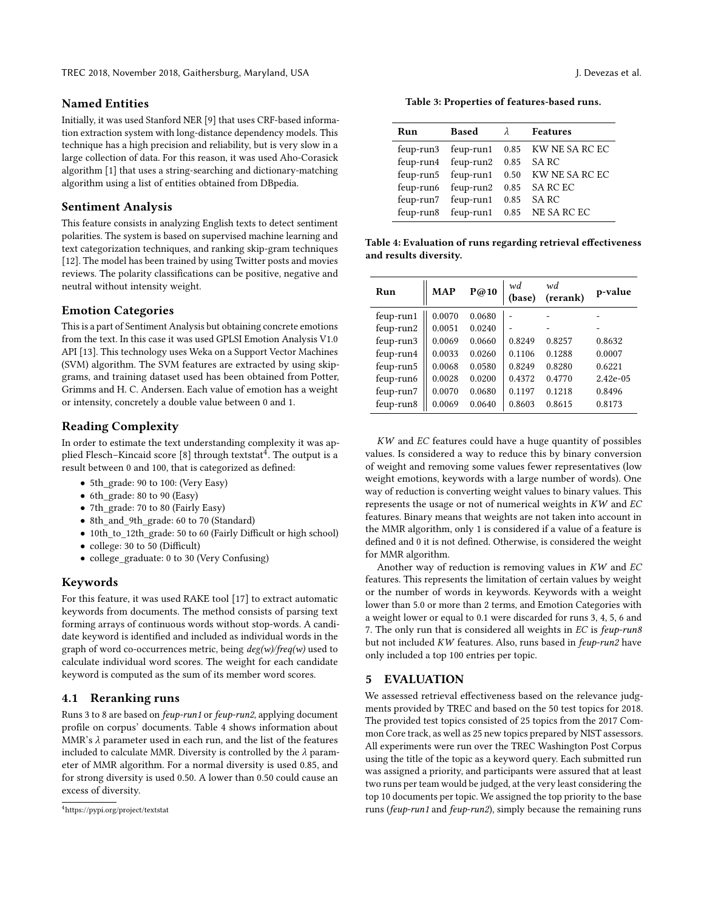#### Named Entities

Initially, it was used Stanford NER [\[9\]](#page-5-7) that uses CRF-based information extraction system with long-distance dependency models. This technique has a high precision and reliability, but is very slow in a large collection of data. For this reason, it was used Aho-Corasick algorithm [\[1\]](#page-5-6) that uses a string-searching and dictionary-matching algorithm using a list of entities obtained from DBpedia.

#### Sentiment Analysis

This feature consists in analyzing English texts to detect sentiment polarities. The system is based on supervised machine learning and text categorization techniques, and ranking skip-gram techniques [\[12\]](#page-6-7). The model has been trained by using Twitter posts and movies reviews. The polarity classifications can be positive, negative and neutral without intensity weight.

### Emotion Categories

This is a part of Sentiment Analysis but obtaining concrete emotions from the text. In this case it was used GPLSI Emotion Analysis V1.0 API [\[13\]](#page-6-8). This technology uses Weka on a Support Vector Machines (SVM) algorithm. The SVM features are extracted by using skipgrams, and training dataset used has been obtained from Potter, Grimms and H. C. Andersen. Each value of emotion has a weight or intensity, concretely a double value between 0 and 1.

# Reading Complexity

In order to estimate the text understanding complexity it was ap-plied Flesch–Kincaid score [\[8\]](#page-5-8) through textstat $^4$  $^4$ . The output is a result between 0 and 100, that is categorized as defined:

- 5th grade: 90 to 100: (Very Easy)
- 6th grade: 80 to 90 (Easy)
- 7th\_grade: 70 to 80 (Fairly Easy)
- 8th and 9th grade: 60 to 70 (Standard)
- 10th\_to\_12th\_grade: 50 to 60 (Fairly Difficult or high school)
- college: 30 to 50 (Difficult)
- college graduate: 0 to 30 (Very Confusing)

### Keywords

For this feature, it was used RAKE tool [\[17\]](#page-6-9) to extract automatic keywords from documents. The method consists of parsing text forming arrays of continuous words without stop-words. A candidate keyword is identified and included as individual words in the graph of word co-occurrences metric, being  $deg(w)/freq(w)$  used to calculate individual word scores. The weight for each candidate keyword is computed as the sum of its member word scores.

#### 4.1 Reranking runs

Runs 3 to 8 are based on feup-run1 or feup-run2, applying document profile on corpus' documents. Table [4](#page-3-2) shows information about MMR's  $\lambda$  parameter used in each run, and the list of the features included to calculate MMR. Diversity is controlled by the  $\lambda$  parameter of MMR algorithm. For a normal diversity is used 0.85, and for strong diversity is used 0.50. A lower than 0.50 could cause an excess of diversity.

Table 3: Properties of features-based runs.

| <b>Based</b><br>Run |                               | $\lambda$ | <b>Features</b>                         |  |  |
|---------------------|-------------------------------|-----------|-----------------------------------------|--|--|
|                     |                               |           | feup-run3 feup-run1 0.85 KW NE SA RC EC |  |  |
|                     | feup-run4 feup-run2 0.85 SARC |           |                                         |  |  |
|                     |                               |           | feup-run5 feup-run1 0.50 KW NE SA RC EC |  |  |
|                     | feup-run6 feup-run2           |           | 0.85 SA RC EC                           |  |  |
|                     | feup-run7 feup-run1           |           | 0.85 SARC                               |  |  |
|                     |                               |           | feup-run8 feup-run1 0.85 NE SA RC EC    |  |  |
|                     |                               |           |                                         |  |  |

<span id="page-3-2"></span>Table 4: Evaluation of runs regarding retrieval effectiveness and results diversity.

| Run       | <b>MAP</b> | P@10   | wd<br>(base) | wd<br>(rerank) | p-value     |
|-----------|------------|--------|--------------|----------------|-------------|
| feup-run1 | 0.0070     | 0.0680 |              |                |             |
| feup-run2 | 0.0051     | 0.0240 |              |                |             |
| feup-run3 | 0.0069     | 0.0660 | 0.8249       | 0.8257         | 0.8632      |
| feup-run4 | 0.0033     | 0.0260 | 0.1106       | 0.1288         | 0.0007      |
| feup-run5 | 0.0068     | 0.0580 | 0.8249       | 0.8280         | 0.6221      |
| feup-run6 | 0.0028     | 0.0200 | 0.4372       | 0.4770         | $2.42e-0.5$ |
| feup-run7 | 0.0070     | 0.0680 | 0.1197       | 0.1218         | 0.8496      |
| feup-run8 | 0.0069     | 0.0640 | 0.8603       | 0.8615         | 0.8173      |

KW and EC features could have a huge quantity of possibles values. Is considered a way to reduce this by binary conversion of weight and removing some values fewer representatives (low weight emotions, keywords with a large number of words). One way of reduction is converting weight values to binary values. This represents the usage or not of numerical weights in  $KW$  and  $EC$ features. Binary means that weights are not taken into account in the MMR algorithm, only 1 is considered if a value of a feature is defined and 0 it is not defined. Otherwise, is considered the weight for MMR algorithm.

Another way of reduction is removing values in KW and EC features. This represents the limitation of certain values by weight or the number of words in keywords. Keywords with a weight lower than 5.0 or more than 2 terms, and Emotion Categories with a weight lower or equal to 0.1 were discarded for runs 3, 4, 5, 6 and 7. The only run that is considered all weights in EC is feup-run8 but not included KW features. Also, runs based in feup-run2 have only included a top 100 entries per topic.

### <span id="page-3-0"></span>5 EVALUATION

We assessed retrieval effectiveness based on the relevance judgments provided by TREC and based on the 50 test topics for 2018. The provided test topics consisted of 25 topics from the 2017 Common Core track, as well as 25 new topics prepared by NIST assessors. All experiments were run over the TREC Washington Post Corpus using the title of the topic as a keyword query. Each submitted run was assigned a priority, and participants were assured that at least two runs per team would be judged, at the very least considering the top 10 documents per topic. We assigned the top priority to the base runs (feup-run1 and feup-run2), simply because the remaining runs

<span id="page-3-1"></span><sup>4</sup>https://pypi.org/project/textstat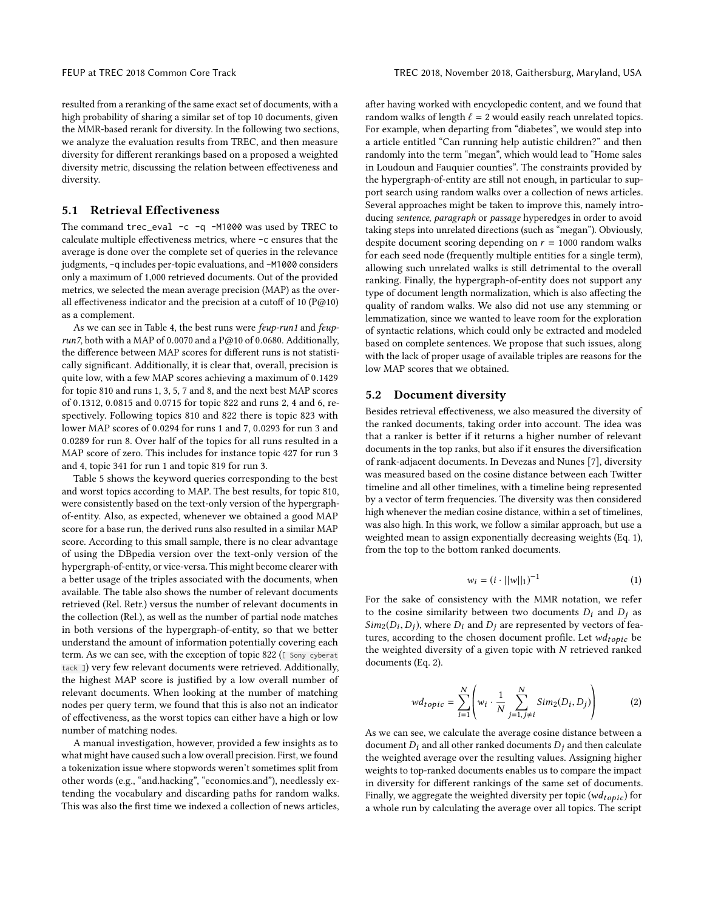resulted from a reranking of the same exact set of documents, with a high probability of sharing a similar set of top 10 documents, given the MMR-based rerank for diversity. In the following two sections, we analyze the evaluation results from TREC, and then measure diversity for different rerankings based on a proposed a weighted diversity metric, discussing the relation between effectiveness and diversity.

### 5.1 Retrieval Effectiveness

The command trec\_eval -c -q -M1000 was used by TREC to calculate multiple effectiveness metrics, where -c ensures that the average is done over the complete set of queries in the relevance judgments, -q includes per-topic evaluations, and -M1000 considers only a maximum of <sup>1</sup>,<sup>000</sup> retrieved documents. Out of the provided metrics, we selected the mean average precision (MAP) as the overall effectiveness indicator and the precision at a cutoff of 10 (P@10) as a complement.

As we can see in Table [4,](#page-3-2) the best runs were feup-run1 and feuprun7, both with a MAP of 0.0070 and a P@10 of 0.0680. Additionally, the difference between MAP scores for different runs is not statistically significant. Additionally, it is clear that, overall, precision is quite low, with a few MAP scores achieving a maximum of <sup>0</sup>.<sup>1429</sup> for topic 810 and runs 1, 3, 5, 7 and 8, and the next best MAP scores of <sup>0</sup>.1312, <sup>0</sup>.<sup>0815</sup> and <sup>0</sup>.<sup>0715</sup> for topic 822 and runs 2, 4 and 6, respectively. Following topics 810 and 822 there is topic 823 with lower MAP scores of <sup>0</sup>.<sup>0294</sup> for runs 1 and 7, <sup>0</sup>.<sup>0293</sup> for run 3 and <sup>0</sup>.<sup>0289</sup> for run 8. Over half of the topics for all runs resulted in a MAP score of zero. This includes for instance topic 427 for run 3 and 4, topic 341 for run 1 and topic 819 for run 3.

Table [5](#page-5-9) shows the keyword queries corresponding to the best and worst topics according to MAP. The best results, for topic 810, were consistently based on the text-only version of the hypergraphof-entity. Also, as expected, whenever we obtained a good MAP score for a base run, the derived runs also resulted in a similar MAP score. According to this small sample, there is no clear advantage of using the DBpedia version over the text-only version of the hypergraph-of-entity, or vice-versa. This might become clearer with a better usage of the triples associated with the documents, when available. The table also shows the number of relevant documents retrieved (Rel. Retr.) versus the number of relevant documents in the collection (Rel.), as well as the number of partial node matches in both versions of the hypergraph-of-entity, so that we better understand the amount of information potentially covering each term. As we can see, with the exception of topic 822 ([ Sony cyberat tack ]) very few relevant documents were retrieved. Additionally, the highest MAP score is justified by a low overall number of relevant documents. When looking at the number of matching nodes per query term, we found that this is also not an indicator of effectiveness, as the worst topics can either have a high or low number of matching nodes.

A manual investigation, however, provided a few insights as to what might have caused such a low overall precision. First, we found a tokenization issue where stopwords weren't sometimes split from other words (e.g., "and.hacking", "economics.and"), needlessly extending the vocabulary and discarding paths for random walks. This was also the first time we indexed a collection of news articles, after having worked with encyclopedic content, and we found that random walks of length  $\ell = 2$  would easily reach unrelated topics. For example, when departing from "diabetes", we would step into a article entitled "Can running help autistic children?" and then randomly into the term "megan", which would lead to "Home sales in Loudoun and Fauquier counties". The constraints provided by the hypergraph-of-entity are still not enough, in particular to support search using random walks over a collection of news articles. Several approaches might be taken to improve this, namely introducing sentence, paragraph or passage hyperedges in order to avoid taking steps into unrelated directions (such as "megan"). Obviously, despite document scoring depending on  $r = 1000$  random walks for each seed node (frequently multiple entities for a single term), allowing such unrelated walks is still detrimental to the overall ranking. Finally, the hypergraph-of-entity does not support any type of document length normalization, which is also affecting the quality of random walks. We also did not use any stemming or lemmatization, since we wanted to leave room for the exploration of syntactic relations, which could only be extracted and modeled based on complete sentences. We propose that such issues, along with the lack of proper usage of available triples are reasons for the low MAP scores that we obtained.

#### 5.2 Document diversity

Besides retrieval effectiveness, we also measured the diversity of the ranked documents, taking order into account. The idea was that a ranker is better if it returns a higher number of relevant documents in the top ranks, but also if it ensures the diversification of rank-adjacent documents. In Devezas and Nunes [\[7\]](#page-5-10), diversity was measured based on the cosine distance between each Twitter timeline and all other timelines, with a timeline being represented by a vector of term frequencies. The diversity was then considered high whenever the median cosine distance, within a set of timelines, was also high. In this work, we follow a similar approach, but use a weighted mean to assign exponentially decreasing weights (Eq. [1\)](#page-4-0), from the top to the bottom ranked documents.

<span id="page-4-0"></span>
$$
w_i = (i \cdot ||w||_1)^{-1}
$$
 (1)

For the sake of consistency with the MMR notation, we refer to the cosine similarity between two documents  $D_i$  and  $D_j$  as  $Sim_2(D_i, D_j)$ , where  $D_i$  and  $D_j$  are represented by vectors of fea-<br>tures, according to the chosen document profile Let  $wd_{i+1}$ , be tures, according to the chosen document profile. Let  $wd_{topic}$  be the weighted diversity of a given topic with  $N$  retrieved ranked documents (Eq. [2\)](#page-4-1).

<span id="page-4-1"></span>
$$
wd_{topic} = \sum_{i=1}^{N} \left( w_i \cdot \frac{1}{N} \sum_{j=1, j \neq i}^{N} Sim_2(D_i, D_j) \right)
$$
 (2)

we can see, we calculate the average cosine distance between a document  $D_i$  and all other ranked documents  $D_i$  and then calculate the weighted average over the resulting values. Assigning higher weights to top-ranked documents enables us to compare the impact in diversity for different rankings of the same set of documents. Finally, we aggregate the weighted diversity per topic ( $wd_{topic}$ ) for a whole run by calculating the average over all topics. The script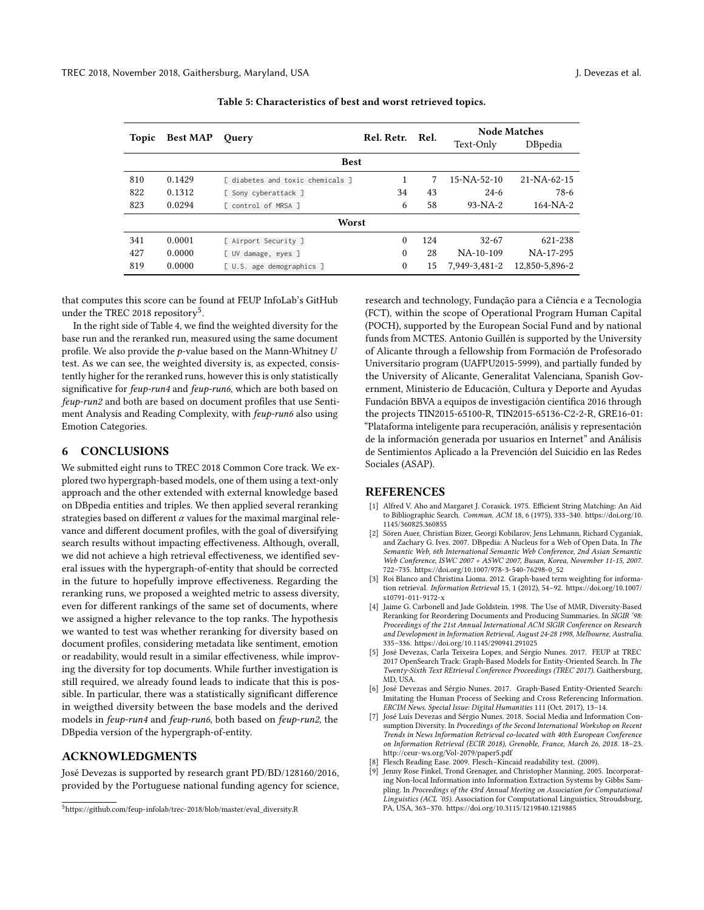<span id="page-5-9"></span>

| Topic       | <b>Best MAP</b> | <b>Ouery</b>                     | Rel. Retr. | - Rel. | <b>Node Matches</b> |                |  |
|-------------|-----------------|----------------------------------|------------|--------|---------------------|----------------|--|
|             |                 |                                  |            |        | Text-Only           | DBpedia        |  |
| <b>Best</b> |                 |                                  |            |        |                     |                |  |
| 810         | 0.1429          | I diabetes and toxic chemicals 1 |            | 7      | $15 - NA - 52 - 10$ | 21-NA-62-15    |  |
| 822         | 0.1312          | [ Sony cyberattack ]             | 34         | 43     | $24-6$              | 78-6           |  |
| 823         | 0.0294          | [ control of MRSA ]              | 6          | 58     | $93-NA-2$           | $164-NA-2$     |  |
| Worst       |                 |                                  |            |        |                     |                |  |
| 341         | 0.0001          | [ Airport Security ]             | 0          | 124    | $32 - 67$           | 621-238        |  |
| 427         | 0.0000          | [ UV damage, eyes ]              | 0          | 28     | $NA-10-109$         | NA-17-295      |  |
| 819         | 0.0000          | [ U.S. age demographics ]        | 0          | 15     | 7.949-3.481-2       | 12,850-5,896-2 |  |
|             |                 |                                  |            |        |                     |                |  |

| Table 5: Characteristics of best and worst retrieved topics. |  |  |
|--------------------------------------------------------------|--|--|
|--------------------------------------------------------------|--|--|

that computes this score can be found at FEUP InfoLab's GitHub under the TREC 2018 repository<sup>[5](#page-5-11)</sup>.

In the right side of Table [4,](#page-3-2) we find the weighted diversity for the base run and the reranked run, measured using the same document profile. We also provide the  $p$ -value based on the Mann-Whitney  $U$ test. As we can see, the weighted diversity is, as expected, consistently higher for the reranked runs, however this is only statistically significative for feup-run4 and feup-run6, which are both based on feup-run2 and both are based on document profiles that use Sentiment Analysis and Reading Complexity, with feup-run6 also using Emotion Categories.

### <span id="page-5-3"></span>6 CONCLUSIONS

We submitted eight runs to TREC 2018 Common Core track. We explored two hypergraph-based models, one of them using a text-only approach and the other extended with external knowledge based on DBpedia entities and triples. We then applied several reranking strategies based on different  $\alpha$  values for the maximal marginal relevance and different document profiles, with the goal of diversifying search results without impacting effectiveness. Although, overall, we did not achieve a high retrieval effectiveness, we identified several issues with the hypergraph-of-entity that should be corrected in the future to hopefully improve effectiveness. Regarding the reranking runs, we proposed a weighted metric to assess diversity, even for different rankings of the same set of documents, where we assigned a higher relevance to the top ranks. The hypothesis we wanted to test was whether reranking for diversity based on document profiles, considering metadata like sentiment, emotion or readability, would result in a similar effectiveness, while improving the diversity for top documents. While further investigation is still required, we already found leads to indicate that this is possible. In particular, there was a statistically significant difference in weigthed diversity between the base models and the derived models in feup-run4 and feup-run6, both based on feup-run2, the DBpedia version of the hypergraph-of-entity.

# ACKNOWLEDGMENTS

José Devezas is supported by research grant PD/BD/128160/2016, provided by the Portuguese national funding agency for science,

research and technology, Fundação para a Ciência e a Tecnologia (FCT), within the scope of Operational Program Human Capital (POCH), supported by the European Social Fund and by national funds from MCTES. Antonio Guillén is supported by the University of Alicante through a fellowship from Formación de Profesorado Universitario program (UAFPU2015-5999), and partially funded by the University of Alicante, Generalitat Valenciana, Spanish Government, Ministerio de Educación, Cultura y Deporte and Ayudas Fundación BBVA a equipos de investigación científica 2016 through the projects TIN2015-65100-R, TIN2015-65136-C2-2-R, GRE16-01: "Plataforma inteligente para recuperación, análisis y representación de la información generada por usuarios en Internet" and Análisis de Sentimientos Aplicado a la Prevención del Suicidio en las Redes Sociales (ASAP).

#### REFERENCES

- <span id="page-5-6"></span>[1] Alfred V. Aho and Margaret J. Corasick. 1975. Efficient String Matching: An Aid to Bibliographic Search. Commun. ACM 18, 6 (1975), 333–340. [https://doi.org/10.](https://doi.org/10.1145/360825.360855) [1145/360825.360855](https://doi.org/10.1145/360825.360855)
- <span id="page-5-1"></span>Sören Auer, Christian Bizer, Georgi Kobilarov, Jens Lehmann, Richard Cyganiak, and Zachary G. Ives. 2007. DBpedia: A Nucleus for a Web of Open Data. In The Semantic Web, 6th International Semantic Web Conference, 2nd Asian Semantic Web Conference, ISWC 2007 + ASWC 2007, Busan, Korea, November 11-15, 2007. 722–735. [https://doi.org/10.1007/978-3-540-76298-0\\_52](https://doi.org/10.1007/978-3-540-76298-0_52)
- <span id="page-5-0"></span>[3] Roi Blanco and Christina Lioma. 2012. Graph-based term weighting for information retrieval. Information Retrieval 15, 1 (2012), 54–92. [https://doi.org/10.1007/](https://doi.org/10.1007/s10791-011-9172-x) [s10791-011-9172-x](https://doi.org/10.1007/s10791-011-9172-x)
- <span id="page-5-2"></span>[4] Jaime G. Carbonell and Jade Goldstein. 1998. The Use of MMR, Diversity-Based Reranking for Reordering Documents and Producing Summaries. In SIGIR '98: Proceedings of the 21st Annual International ACM SIGIR Conference on Research and Development in Information Retrieval, August 24-28 1998, Melbourne, Australia. 335–336.<https://doi.org/10.1145/290941.291025>
- <span id="page-5-5"></span>[5] José Devezas, Carla Teixeira Lopes, and Sérgio Nunes. 2017. FEUP at TREC 2017 OpenSearch Track: Graph-Based Models for Entity-Oriented Search. In The Twenty-Sixth Text REtrieval Conference Proceedings (TREC 2017). Gaithersburg, MD, USA.
- <span id="page-5-4"></span>[6] José Devezas and Sérgio Nunes. 2017. Graph-Based Entity-Oriented Search: Imitating the Human Process of Seeking and Cross Referencing Information. ERCIM News. Special Issue: Digital Humanities 111 (Oct. 2017), 13–14.
- <span id="page-5-10"></span>[7] José Luís Devezas and Sérgio Nunes. 2018. Social Media and Information Consumption Diversity. In Proceedings of the Second International Workshop on Recent Trends in News Information Retrieval co-located with 40th European Conference on Information Retrieval (ECIR 2018), Grenoble, France, March 26, 2018. 18–23. <http://ceur-ws.org/Vol-2079/paper5.pdf>
- <span id="page-5-8"></span>Flesch Reading Ease. 2009. Flesch-Kincaid readability test. (2009).
- <span id="page-5-7"></span>Jenny Rose Finkel, Trond Grenager, and Christopher Manning. 2005. Incorporating Non-local Information into Information Extraction Systems by Gibbs Sampling. In Proceedings of the 43rd Annual Meeting on Association for Computational Linguistics (ACL '05). Association for Computational Linguistics, Stroudsburg, PA, USA, 363–370.<https://doi.org/10.3115/1219840.1219885>

<span id="page-5-11"></span><sup>5</sup>[https://github.com/feup-infolab/trec-2018/blob/master/eval\\_diversity.R](https://github.com/feup-infolab/trec-2018/blob/master/eval_diversity.R)